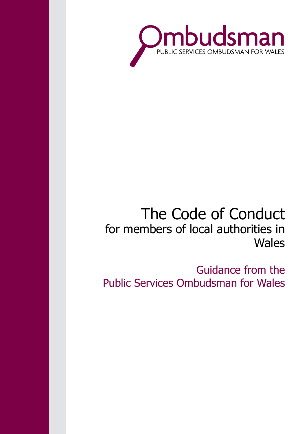

# The Code of Conduct for members of local authorities in **Wales**

Guidance from the Public Services Ombudsman for Wales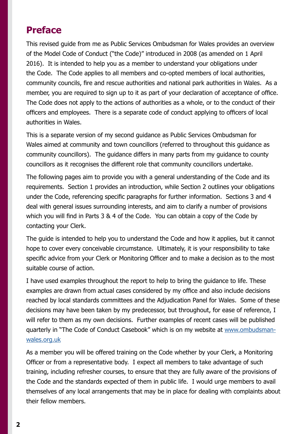## **Preface**

This revised guide from me as Public Services Ombudsman for Wales provides an overview of the Model Code of Conduct ("the Code)" introduced in 2008 (as amended on 1 April 2016). It is intended to help you as a member to understand your obligations under the Code. The Code applies to all members and co-opted members of local authorities, community councils, fire and rescue authorities and national park authorities in Wales. As a member, you are required to sign up to it as part of your declaration of acceptance of office. The Code does not apply to the actions of authorities as a whole, or to the conduct of their officers and employees. There is a separate code of conduct applying to officers of local authorities in Wales.

This is a separate version of my second guidance as Public Services Ombudsman for Wales aimed at community and town councillors (referred to throughout this guidance as community councillors). The guidance differs in many parts from my guidance to county councillors as it recognises the different role that community councillors undertake.

The following pages aim to provide you with a general understanding of the Code and its requirements. Section 1 provides an introduction, while Section 2 outlines your obligations under the Code, referencing specific paragraphs for further information. Sections 3 and 4 deal with general issues surrounding interests, and aim to clarify a number of provisions which you will find in Parts 3 & 4 of the Code. You can obtain a copy of the Code by contacting your Clerk.

The guide is intended to help you to understand the Code and how it applies, but it cannot hope to cover every conceivable circumstance. Ultimately, it is your responsibility to take specific advice from your Clerk or Monitoring Officer and to make a decision as to the most suitable course of action.

I have used examples throughout the report to help to bring the guidance to life. These examples are drawn from actual cases considered by my office and also include decisions reached by local standards committees and the Adjudication Panel for Wales. Some of these decisions may have been taken by my predecessor, but throughout, for ease of reference, I will refer to them as my own decisions. Further examples of recent cases will be published quarterly in "The Code of Conduct Casebook" which is on my website at [www.ombudsman](http://www.ombudsman-wales.org.uk)[wales.org.uk](http://www.ombudsman-wales.org.uk)

As a member you will be offered training on the Code whether by your Clerk, a Monitoring Officer or from a representative body. I expect all members to take advantage of such training, including refresher courses, to ensure that they are fully aware of the provisions of the Code and the standards expected of them in public life. I would urge members to avail themselves of any local arrangements that may be in place for dealing with complaints about their fellow members.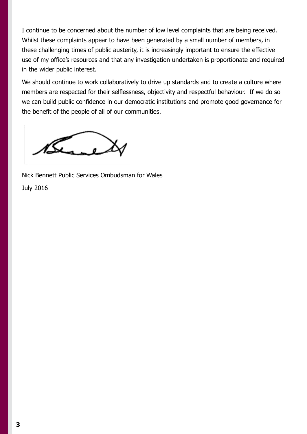I continue to be concerned about the number of low level complaints that are being received. Whilst these complaints appear to have been generated by a small number of members, in these challenging times of public austerity, it is increasingly important to ensure the effective use of my office's resources and that any investigation undertaken is proportionate and required in the wider public interest.

We should continue to work collaboratively to drive up standards and to create a culture where members are respected for their selflessness, objectivity and respectful behaviour. If we do so we can build public confidence in our democratic institutions and promote good governance for the benefit of the people of all of our communities.

Nick Bennett Public Services Ombudsman for Wales

July 2016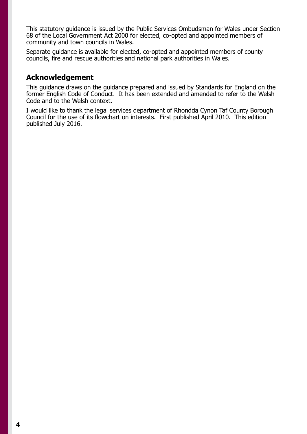This statutory guidance is issued by the Public Services Ombudsman for Wales under Section 68 of the Local Government Act 2000 for elected, co-opted and appointed members of community and town councils in Wales.

Separate guidance is available for elected, co-opted and appointed members of county councils, fire and rescue authorities and national park authorities in Wales.

#### **Acknowledgement**

This guidance draws on the guidance prepared and issued by Standards for England on the former English Code of Conduct. It has been extended and amended to refer to the Welsh Code and to the Welsh context.

I would like to thank the legal services department of Rhondda Cynon Taf County Borough Council for the use of its flowchart on interests. First published April 2010. This edition published July 2016.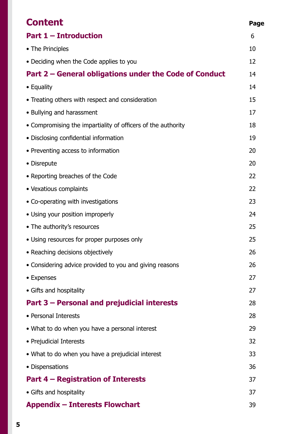| <b>Content</b>                                               | Page |
|--------------------------------------------------------------|------|
| <b>Part 1 - Introduction</b>                                 | 6    |
| • The Principles                                             | 10   |
| • Deciding when the Code applies to you                      | 12   |
| Part 2 – General obligations under the Code of Conduct       | 14   |
| • Equality                                                   | 14   |
| • Treating others with respect and consideration             | 15   |
| • Bullying and harassment                                    | 17   |
| • Compromising the impartiality of officers of the authority | 18   |
| • Disclosing confidential information                        | 19   |
| • Preventing access to information                           | 20   |
| • Disrepute                                                  | 20   |
| • Reporting breaches of the Code                             | 22   |
| • Vexatious complaints                                       | 22   |
| • Co-operating with investigations                           | 23   |
| • Using your position improperly                             | 24   |
| • The authority's resources                                  | 25   |
| • Using resources for proper purposes only                   | 25   |
| • Reaching decisions objectively                             | 26   |
| • Considering advice provided to you and giving reasons      | 26   |
| • Expenses                                                   | 27   |
| • Gifts and hospitality                                      | 27   |
| Part 3 – Personal and prejudicial interests                  | 28   |
| • Personal Interests                                         | 28   |
| • What to do when you have a personal interest               | 29   |
| • Prejudicial Interests                                      | 32   |
| • What to do when you have a prejudicial interest            | 33   |
| • Dispensations                                              | 36   |
| <b>Part 4 – Registration of Interests</b>                    | 37   |
| • Gifts and hospitality                                      | 37   |
| <b>Appendix - Interests Flowchart</b>                        | 39   |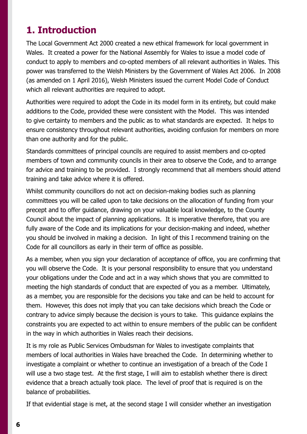## <span id="page-5-0"></span>**1. Introduction**

The Local Government Act 2000 created a new ethical framework for local government in Wales. It created a power for the National Assembly for Wales to issue a model code of conduct to apply to members and co-opted members of all relevant authorities in Wales. This power was transferred to the Welsh Ministers by the Government of Wales Act 2006. In 2008 (as amended on 1 April 2016), Welsh Ministers issued the current Model Code of Conduct which all relevant authorities are required to adopt.

Authorities were required to adopt the Code in its model form in its entirety, but could make additions to the Code, provided these were consistent with the Model. This was intended to give certainty to members and the public as to what standards are expected. It helps to ensure consistency throughout relevant authorities, avoiding confusion for members on more than one authority and for the public.

Standards committees of principal councils are required to assist members and co-opted members of town and community councils in their area to observe the Code, and to arrange for advice and training to be provided. I strongly recommend that all members should attend training and take advice where it is offered.

Whilst community councillors do not act on decision-making bodies such as planning committees you will be called upon to take decisions on the allocation of funding from your precept and to offer guidance, drawing on your valuable local knowledge, to the County Council about the impact of planning applications. It is imperative therefore, that you are fully aware of the Code and its implications for your decision-making and indeed, whether you should be involved in making a decision. In light of this I recommend training on the Code for all councillors as early in their term of office as possible.

As a member, when you sign your declaration of acceptance of office, you are confirming that you will observe the Code. It is your personal responsibility to ensure that you understand your obligations under the Code and act in a way which shows that you are committed to meeting the high standards of conduct that are expected of you as a member. Ultimately, as a member, you are responsible for the decisions you take and can be held to account for them. However, this does not imply that you can take decisions which breach the Code or contrary to advice simply because the decision is yours to take. This guidance explains the constraints you are expected to act within to ensure members of the public can be confident in the way in which authorities in Wales reach their decisions.

It is my role as Public Services Ombudsman for Wales to investigate complaints that members of local authorities in Wales have breached the Code. In determining whether to investigate a complaint or whether to continue an investigation of a breach of the Code I will use a two stage test. At the first stage, I will aim to establish whether there is direct evidence that a breach actually took place. The level of proof that is required is on the balance of probabilities.

If that evidential stage is met, at the second stage I will consider whether an investigation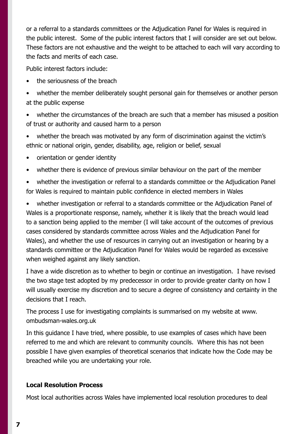or a referral to a standards committees or the Adjudication Panel for Wales is required in the public interest. Some of the public interest factors that I will consider are set out below. These factors are not exhaustive and the weight to be attached to each will vary according to the facts and merits of each case.

Public interest factors include:

- the seriousness of the breach
- whether the member deliberately sought personal gain for themselves or another person at the public expense
- whether the circumstances of the breach are such that a member has misused a position of trust or authority and caused harm to a person
- whether the breach was motivated by any form of discrimination against the victim's ethnic or national origin, gender, disability, age, religion or belief, sexual
- orientation or gender identity
- whether there is evidence of previous similar behaviour on the part of the member
- whether the investigation or referral to a standards committee or the Adjudication Panel for Wales is required to maintain public confidence in elected members in Wales

• whether investigation or referral to a standards committee or the Adjudication Panel of Wales is a proportionate response, namely, whether it is likely that the breach would lead to a sanction being applied to the member (I will take account of the outcomes of previous cases considered by standards committee across Wales and the Adjudication Panel for Wales), and whether the use of resources in carrying out an investigation or hearing by a standards committee or the Adjudication Panel for Wales would be regarded as excessive when weighed against any likely sanction.

I have a wide discretion as to whether to begin or continue an investigation. I have revised the two stage test adopted by my predecessor in order to provide greater clarity on how I will usually exercise my discretion and to secure a degree of consistency and certainty in the decisions that I reach.

The process I use for investigating complaints is summarised on my website at www. ombudsman-wales.org.uk

In this guidance I have tried, where possible, to use examples of cases which have been referred to me and which are relevant to community councils. Where this has not been possible I have given examples of theoretical scenarios that indicate how the Code may be breached while you are undertaking your role.

#### **Local Resolution Process**

Most local authorities across Wales have implemented local resolution procedures to deal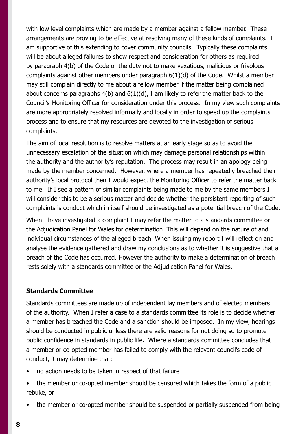with low level complaints which are made by a member against a fellow member. These arrangements are proving to be effective at resolving many of these kinds of complaints. I am supportive of this extending to cover community councils. Typically these complaints will be about alleged failures to show respect and consideration for others as required by paragraph 4(b) of the Code or the duty not to make vexatious, malicious or frivolous complaints against other members under paragraph 6(1)(d) of the Code. Whilst a member may still complain directly to me about a fellow member if the matter being complained about concerns paragraphs 4(b) and 6(1)(d), I am likely to refer the matter back to the Council's Monitoring Officer for consideration under this process. In my view such complaints are more appropriately resolved informally and locally in order to speed up the complaints process and to ensure that my resources are devoted to the investigation of serious complaints.

The aim of local resolution is to resolve matters at an early stage so as to avoid the unnecessary escalation of the situation which may damage personal relationships within the authority and the authority's reputation. The process may result in an apology being made by the member concerned. However, where a member has repeatedly breached their authority's local protocol then I would expect the Monitoring Officer to refer the matter back to me. If I see a pattern of similar complaints being made to me by the same members I will consider this to be a serious matter and decide whether the persistent reporting of such complaints is conduct which in itself should be investigated as a potential breach of the Code.

When I have investigated a complaint I may refer the matter to a standards committee or the Adjudication Panel for Wales for determination. This will depend on the nature of and individual circumstances of the alleged breach. When issuing my report I will reflect on and analyse the evidence gathered and draw my conclusions as to whether it is suggestive that a breach of the Code has occurred. However the authority to make a determination of breach rests solely with a standards committee or the Adjudication Panel for Wales.

#### **Standards Committee**

Standards committees are made up of independent lay members and of elected members of the authority. When I refer a case to a standards committee its role is to decide whether a member has breached the Code and a sanction should be imposed. In my view, hearings should be conducted in public unless there are valid reasons for not doing so to promote public confidence in standards in public life. Where a standards committee concludes that a member or co-opted member has failed to comply with the relevant council's code of conduct, it may determine that:

- no action needs to be taken in respect of that failure
- the member or co-opted member should be censured which takes the form of a public rebuke, or
- the member or co-opted member should be suspended or partially suspended from being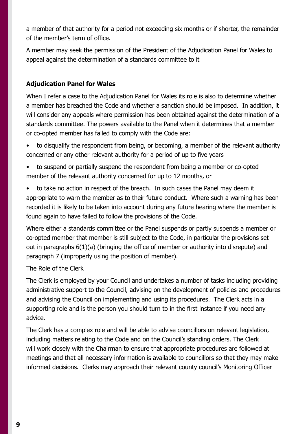a member of that authority for a period not exceeding six months or if shorter, the remainder of the member's term of office.

A member may seek the permission of the President of the Adjudication Panel for Wales to appeal against the determination of a standards committee to it

#### **Adjudication Panel for Wales**

When I refer a case to the Adjudication Panel for Wales its role is also to determine whether a member has breached the Code and whether a sanction should be imposed. In addition, it will consider any appeals where permission has been obtained against the determination of a standards committee. The powers available to the Panel when it determines that a member or co-opted member has failed to comply with the Code are:

- to disqualify the respondent from being, or becoming, a member of the relevant authority concerned or any other relevant authority for a period of up to five years
- to suspend or partially suspend the respondent from being a member or co-opted member of the relevant authority concerned for up to 12 months, or
- to take no action in respect of the breach. In such cases the Panel may deem it appropriate to warn the member as to their future conduct. Where such a warning has been recorded it is likely to be taken into account during any future hearing where the member is found again to have failed to follow the provisions of the Code.

Where either a standards committee or the Panel suspends or partly suspends a member or co-opted member that member is still subject to the Code, in particular the provisions set out in paragraphs 6(1)(a) (bringing the office of member or authority into disrepute) and paragraph 7 (improperly using the position of member).

#### The Role of the Clerk

The Clerk is employed by your Council and undertakes a number of tasks including providing administrative support to the Council, advising on the development of policies and procedures and advising the Council on implementing and using its procedures. The Clerk acts in a supporting role and is the person you should turn to in the first instance if you need any advice.

The Clerk has a complex role and will be able to advise councillors on relevant legislation, including matters relating to the Code and on the Council's standing orders. The Clerk will work closely with the Chairman to ensure that appropriate procedures are followed at meetings and that all necessary information is available to councillors so that they may make informed decisions. Clerks may approach their relevant county council's Monitoring Officer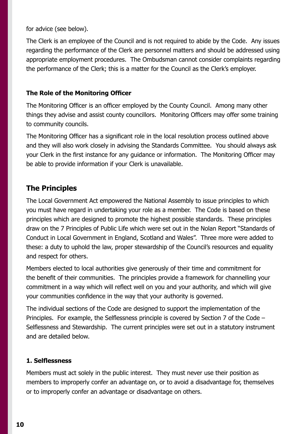<span id="page-9-0"></span>for advice (see below).

The Clerk is an employee of the Council and is not required to abide by the Code. Any issues regarding the performance of the Clerk are personnel matters and should be addressed using appropriate employment procedures. The Ombudsman cannot consider complaints regarding the performance of the Clerk; this is a matter for the Council as the Clerk's employer.

#### **The Role of the Monitoring Officer**

The Monitoring Officer is an officer employed by the County Council. Among many other things they advise and assist county councillors. Monitoring Officers may offer some training to community councils.

The Monitoring Officer has a significant role in the local resolution process outlined above and they will also work closely in advising the Standards Committee. You should always ask your Clerk in the first instance for any guidance or information. The Monitoring Officer may be able to provide information if your Clerk is unavailable.

### **The Principles**

The Local Government Act empowered the National Assembly to issue principles to which you must have regard in undertaking your role as a member. The Code is based on these principles which are designed to promote the highest possible standards. These principles draw on the 7 Principles of Public Life which were set out in the Nolan Report "Standards of Conduct in Local Government in England, Scotland and Wales". Three more were added to these: a duty to uphold the law, proper stewardship of the Council's resources and equality and respect for others.

Members elected to local authorities give generously of their time and commitment for the benefit of their communities. The principles provide a framework for channelling your commitment in a way which will reflect well on you and your authority, and which will give your communities confidence in the way that your authority is governed.

The individual sections of the Code are designed to support the implementation of the Principles. For example, the Selflessness principle is covered by Section 7 of the Code – Selflessness and Stewardship. The current principles were set out in a statutory instrument and are detailed below.

#### **1. Selflessness**

Members must act solely in the public interest. They must never use their position as members to improperly confer an advantage on, or to avoid a disadvantage for, themselves or to improperly confer an advantage or disadvantage on others.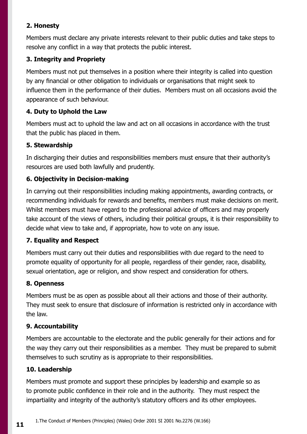#### **2. Honesty**

Members must declare any private interests relevant to their public duties and take steps to resolve any conflict in a way that protects the public interest.

#### **3. Integrity and Propriety**

Members must not put themselves in a position where their integrity is called into question by any financial or other obligation to individuals or organisations that might seek to influence them in the performance of their duties. Members must on all occasions avoid the appearance of such behaviour.

#### **4. Duty to Uphold the Law**

Members must act to uphold the law and act on all occasions in accordance with the trust that the public has placed in them.

#### **5. Stewardship**

In discharging their duties and responsibilities members must ensure that their authority's resources are used both lawfully and prudently.

#### **6. Objectivity in Decision-making**

In carrying out their responsibilities including making appointments, awarding contracts, or recommending individuals for rewards and benefits, members must make decisions on merit. Whilst members must have regard to the professional advice of officers and may properly take account of the views of others, including their political groups, it is their responsibility to decide what view to take and, if appropriate, how to vote on any issue.

#### **7. Equality and Respect**

Members must carry out their duties and responsibilities with due regard to the need to promote equality of opportunity for all people, regardless of their gender, race, disability, sexual orientation, age or religion, and show respect and consideration for others.

#### **8. Openness**

Members must be as open as possible about all their actions and those of their authority. They must seek to ensure that disclosure of information is restricted only in accordance with the law.

#### **9. Accountability**

Members are accountable to the electorate and the public generally for their actions and for the way they carry out their responsibilities as a member. They must be prepared to submit themselves to such scrutiny as is appropriate to their responsibilities.

#### **10. Leadership**

Members must promote and support these principles by leadership and example so as to promote public confidence in their role and in the authority. They must respect the impartiality and integrity of the authority's statutory officers and its other employees.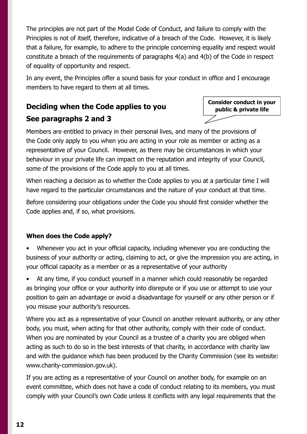<span id="page-11-0"></span>The principles are not part of the Model Code of Conduct, and failure to comply with the Principles is not of itself, therefore, indicative of a breach of the Code. However, it is likely that a failure, for example, to adhere to the principle concerning equality and respect would constitute a breach of the requirements of paragraphs 4(a) and 4(b) of the Code in respect of equality of opportunity and respect.

In any event, the Principles offer a sound basis for your conduct in office and I encourage members to have regard to them at all times.

## **Deciding when the Code applies to you Consider conduct in your See paragraphs 2 and 3**

**public & private life**

Members are entitled to privacy in their personal lives, and many of the provisions of the Code only apply to you when you are acting in your role as member or acting as a representative of your Council. However, as there may be circumstances in which your behaviour in your private life can impact on the reputation and integrity of your Council, some of the provisions of the Code apply to you at all times.

When reaching a decision as to whether the Code applies to you at a particular time I will have regard to the particular circumstances and the nature of your conduct at that time.

Before considering your obligations under the Code you should first consider whether the Code applies and, if so, what provisions.

### **When does the Code apply?**

Whenever you act in your official capacity, including whenever you are conducting the business of your authority or acting, claiming to act, or give the impression you are acting, in your official capacity as a member or as a representative of your authority

At any time, if you conduct yourself in a manner which could reasonably be regarded as bringing your office or your authority into disrepute or if you use or attempt to use your position to gain an advantage or avoid a disadvantage for yourself or any other person or if you misuse your authority's resources.

Where you act as a representative of your Council on another relevant authority, or any other body, you must, when acting for that other authority, comply with their code of conduct. When you are nominated by your Council as a trustee of a charity you are obliged when acting as such to do so in the best interests of that charity, in accordance with charity law and with the guidance which has been produced by the Charity Commission (see its website: www.charity-commission.gov.uk).

If you are acting as a representative of your Council on another body, for example on an event committee, which does not have a code of conduct relating to its members, you must comply with your Council's own Code unless it conflicts with any legal requirements that the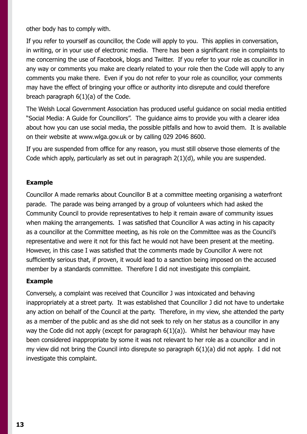other body has to comply with.

If you refer to yourself as councillor, the Code will apply to you. This applies in conversation, in writing, or in your use of electronic media. There has been a significant rise in complaints to me concerning the use of Facebook, blogs and Twitter. If you refer to your role as councillor in any way or comments you make are clearly related to your role then the Code will apply to any comments you make there. Even if you do not refer to your role as councillor, your comments may have the effect of bringing your office or authority into disrepute and could therefore breach paragraph 6(1)(a) of the Code.

The Welsh Local Government Association has produced useful guidance on social media entitled "Social Media: A Guide for Councillors". The guidance aims to provide you with a clearer idea about how you can use social media, the possible pitfalls and how to avoid them. It is available on their website at www.wlga.gov.uk or by calling 029 2046 8600.

If you are suspended from office for any reason, you must still observe those elements of the Code which apply, particularly as set out in paragraph 2(1)(d), while you are suspended.

#### **Example**

Councillor A made remarks about Councillor B at a committee meeting organising a waterfront parade. The parade was being arranged by a group of volunteers which had asked the Community Council to provide representatives to help it remain aware of community issues when making the arrangements. I was satisfied that Councillor A was acting in his capacity as a councillor at the Committee meeting, as his role on the Committee was as the Council's representative and were it not for this fact he would not have been present at the meeting. However, in this case I was satisfied that the comments made by Councillor A were not sufficiently serious that, if proven, it would lead to a sanction being imposed on the accused member by a standards committee. Therefore I did not investigate this complaint.

#### **Example**

Conversely, a complaint was received that Councillor J was intoxicated and behaving inappropriately at a street party. It was established that Councillor J did not have to undertake any action on behalf of the Council at the party. Therefore, in my view, she attended the party as a member of the public and as she did not seek to rely on her status as a councillor in any way the Code did not apply (except for paragraph 6(1)(a)). Whilst her behaviour may have been considered inappropriate by some it was not relevant to her role as a councillor and in my view did not bring the Council into disrepute so paragraph 6(1)(a) did not apply. I did not investigate this complaint.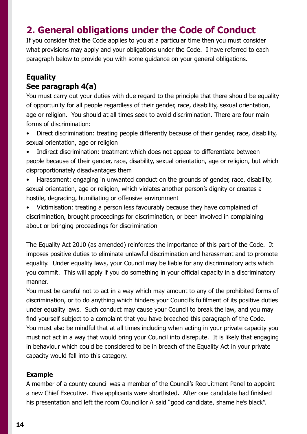## <span id="page-13-0"></span>**2. General obligations under the Code of Conduct**

If you consider that the Code applies to you at a particular time then you must consider what provisions may apply and your obligations under the Code. I have referred to each paragraph below to provide you with some guidance on your general obligations.

## **Equality See paragraph 4(a)**

You must carry out your duties with due regard to the principle that there should be equality of opportunity for all people regardless of their gender, race, disability, sexual orientation, age or religion. You should at all times seek to avoid discrimination. There are four main forms of discrimination:

• Direct discrimination: treating people differently because of their gender, race, disability, sexual orientation, age or religion

Indirect discrimination: treatment which does not appear to differentiate between people because of their gender, race, disability, sexual orientation, age or religion, but which disproportionately disadvantages them

• Harassment: engaging in unwanted conduct on the grounds of gender, race, disability, sexual orientation, age or religion, which violates another person's dignity or creates a hostile, degrading, humiliating or offensive environment

• Victimisation: treating a person less favourably because they have complained of discrimination, brought proceedings for discrimination, or been involved in complaining about or bringing proceedings for discrimination

The Equality Act 2010 (as amended) reinforces the importance of this part of the Code. It imposes positive duties to eliminate unlawful discrimination and harassment and to promote equality. Under equality laws, your Council may be liable for any discriminatory acts which you commit. This will apply if you do something in your official capacity in a discriminatory manner.

You must be careful not to act in a way which may amount to any of the prohibited forms of discrimination, or to do anything which hinders your Council's fulfilment of its positive duties under equality laws. Such conduct may cause your Council to break the law, and you may find yourself subject to a complaint that you have breached this paragraph of the Code. You must also be mindful that at all times including when acting in your private capacity you must not act in a way that would bring your Council into disrepute. It is likely that engaging in behaviour which could be considered to be in breach of the Equality Act in your private capacity would fall into this category.

### **Example**

A member of a county council was a member of the Council's Recruitment Panel to appoint a new Chief Executive. Five applicants were shortlisted. After one candidate had finished his presentation and left the room Councillor A said "good candidate, shame he's black".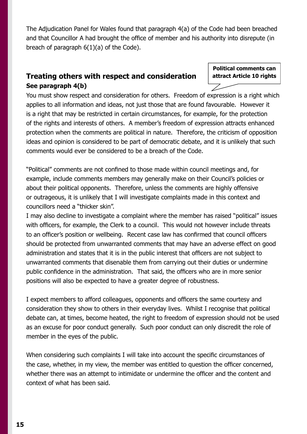<span id="page-14-0"></span>The Adjudication Panel for Wales found that paragraph 4(a) of the Code had been breached and that Councillor A had brought the office of member and his authority into disrepute (in breach of paragraph 6(1)(a) of the Code).

## **Treating others with respect and consideration See paragraph 4(b)**

**Political comments can attract Article 10 rights**

You must show respect and consideration for others. Freedom of expression is a right which applies to all information and ideas, not just those that are found favourable. However it is a right that may be restricted in certain circumstances, for example, for the protection of the rights and interests of others. A member's freedom of expression attracts enhanced protection when the comments are political in nature. Therefore, the criticism of opposition ideas and opinion is considered to be part of democratic debate, and it is unlikely that such comments would ever be considered to be a breach of the Code.

"Political" comments are not confined to those made within council meetings and, for example, include comments members may generally make on their Council's policies or about their political opponents. Therefore, unless the comments are highly offensive or outrageous, it is unlikely that I will investigate complaints made in this context and councillors need a "thicker skin".

I may also decline to investigate a complaint where the member has raised "political" issues with officers, for example, the Clerk to a council. This would not however include threats to an officer's position or wellbeing. Recent case law has confirmed that council officers should be protected from unwarranted comments that may have an adverse effect on good administration and states that it is in the public interest that officers are not subject to unwarranted comments that disenable them from carrying out their duties or undermine public confidence in the administration. That said, the officers who are in more senior positions will also be expected to have a greater degree of robustness.

I expect members to afford colleagues, opponents and officers the same courtesy and consideration they show to others in their everyday lives. Whilst I recognise that political debate can, at times, become heated, the right to freedom of expression should not be used as an excuse for poor conduct generally. Such poor conduct can only discredit the role of member in the eyes of the public.

When considering such complaints I will take into account the specific circumstances of the case, whether, in my view, the member was entitled to question the officer concerned, whether there was an attempt to intimidate or undermine the officer and the content and context of what has been said.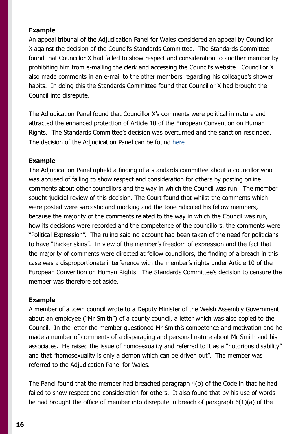#### **Example**

An appeal tribunal of the Adjudication Panel for Wales considered an appeal by Councillor X against the decision of the Council's Standards Committee. The Standards Committee found that Councillor X had failed to show respect and consideration to another member by prohibiting him from e-mailing the clerk and accessing the Council's website. Councillor X also made comments in an e-mail to the other members regarding his colleague's shower habits. In doing this the Standards Committee found that Councillor X had brought the Council into disrepute.

The Adjudication Panel found that Councillor X's comments were political in nature and attracted the enhanced protection of Article 10 of the European Convention on Human Rights. The Standards Committee's decision was overturned and the sanction rescinded. The decision of the Adjudication Panel can be found [here](http://www.valeofglamorgan.gov.uk/en/our_council/legal_notices/Local-Government-Investigations-Regulations.aspx).

#### **Example**

The Adjudication Panel upheld a finding of a standards committee about a councillor who was accused of failing to show respect and consideration for others by posting online comments about other councillors and the way in which the Council was run. The member sought judicial review of this decision. The Court found that whilst the comments which were posted were sarcastic and mocking and the tone ridiculed his fellow members, because the majority of the comments related to the way in which the Council was run, how its decisions were recorded and the competence of the councillors, the comments were "Political Expression". The ruling said no account had been taken of the need for politicians to have "thicker skins". In view of the member's freedom of expression and the fact that the majority of comments were directed at fellow councillors, the finding of a breach in this case was a disproportionate interference with the member's rights under Article 10 of the European Convention on Human Rights. The Standards Committee's decision to censure the member was therefore set aside.

#### **Example**

A member of a town council wrote to a Deputy Minister of the Welsh Assembly Government about an employee ("Mr Smith") of a county council, a letter which was also copied to the Council. In the letter the member questioned Mr Smith's competence and motivation and he made a number of comments of a disparaging and personal nature about Mr Smith and his associates. He raised the issue of homosexuality and referred to it as a "notorious disability" and that "homosexuality is only a demon which can be driven out". The member was referred to the Adjudication Panel for Wales.

The Panel found that the member had breached paragraph 4(b) of the Code in that he had failed to show respect and consideration for others. It also found that by his use of words he had brought the office of member into disrepute in breach of paragraph 6(1)(a) of the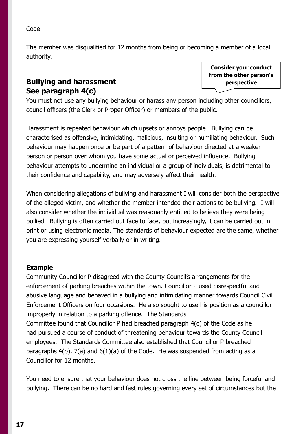<span id="page-16-0"></span>Code.

The member was disqualified for 12 months from being or becoming a member of a local authority.

## **Bullying and harassment**  See paragraph 4(c)

**Consider your conduct from the other person's perspective**

You must not use any bullying behaviour or harass any person including other councillors, council officers (the Clerk or Proper Officer) or members of the public.

Harassment is repeated behaviour which upsets or annoys people. Bullying can be characterised as offensive, intimidating, malicious, insulting or humiliating behaviour. Such behaviour may happen once or be part of a pattern of behaviour directed at a weaker person or person over whom you have some actual or perceived influence. Bullying behaviour attempts to undermine an individual or a group of individuals, is detrimental to their confidence and capability, and may adversely affect their health.

When considering allegations of bullying and harassment I will consider both the perspective of the alleged victim, and whether the member intended their actions to be bullying. I will also consider whether the individual was reasonably entitled to believe they were being bullied. Bullying is often carried out face to face, but increasingly, it can be carried out in print or using electronic media. The standards of behaviour expected are the same, whether you are expressing yourself verbally or in writing.

#### **Example**

Community Councillor P disagreed with the County Council's arrangements for the enforcement of parking breaches within the town. Councillor P used disrespectful and abusive language and behaved in a bullying and intimidating manner towards Council Civil Enforcement Officers on four occasions. He also sought to use his position as a councillor improperly in relation to a parking offence. The Standards Committee found that Councillor P had breached paragraph 4(c) of the Code as he had pursued a course of conduct of threatening behaviour towards the County Council employees. The Standards Committee also established that Councillor P breached paragraphs 4(b), 7(a) and 6(1)(a) of the Code. He was suspended from acting as a Councillor for 12 months.

You need to ensure that your behaviour does not cross the line between being forceful and bullying. There can be no hard and fast rules governing every set of circumstances but the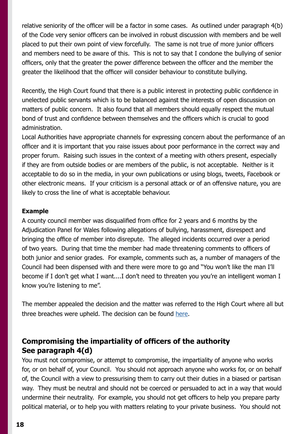<span id="page-17-0"></span>relative seniority of the officer will be a factor in some cases. As outlined under paragraph 4(b) of the Code very senior officers can be involved in robust discussion with members and be well placed to put their own point of view forcefully. The same is not true of more junior officers and members need to be aware of this. This is not to say that I condone the bullying of senior officers, only that the greater the power difference between the officer and the member the greater the likelihood that the officer will consider behaviour to constitute bullying.

Recently, the High Court found that there is a public interest in protecting public confidence in unelected public servants which is to be balanced against the interests of open discussion on matters of public concern. It also found that all members should equally respect the mutual bond of trust and confidence between themselves and the officers which is crucial to good administration.

Local Authorities have appropriate channels for expressing concern about the performance of an officer and it is important that you raise issues about poor performance in the correct way and proper forum. Raising such issues in the context of a meeting with others present, especially if they are from outside bodies or are members of the public, is not acceptable. Neither is it acceptable to do so in the media, in your own publications or using blogs, tweets, Facebook or other electronic means. If your criticism is a personal attack or of an offensive nature, you are likely to cross the line of what is acceptable behaviour.

#### **Example**

A county council member was disqualified from office for 2 years and 6 months by the Adjudication Panel for Wales following allegations of bullying, harassment, disrespect and bringing the office of member into disrepute. The alleged incidents occurred over a period of two years. During that time the member had made threatening comments to officers of both junior and senior grades. For example, comments such as, a number of managers of the Council had been dispensed with and there were more to go and "You won't like the man I'll become if I don't get what I want....I don't need to threaten you you're an intelligent woman I know you're listening to me".

The member appealed the decision and the matter was referred to the High Court where all but three breaches were upheld. The decision can be found [here](http://apw.gov.wales/decision/refs1-decisions/refs-decisions-apr-13-mar14/cllr-p-heesom/?lang=en).

### **Compromising the impartiality of officers of the authority See paragraph 4(d)**

You must not compromise, or attempt to compromise, the impartiality of anyone who works for, or on behalf of, your Council. You should not approach anyone who works for, or on behalf of, the Council with a view to pressurising them to carry out their duties in a biased or partisan way. They must be neutral and should not be coerced or persuaded to act in a way that would undermine their neutrality. For example, you should not get officers to help you prepare party political material, or to help you with matters relating to your private business. You should not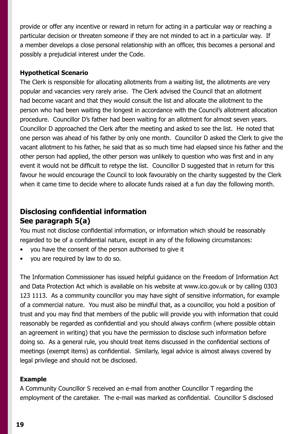<span id="page-18-0"></span>provide or offer any incentive or reward in return for acting in a particular way or reaching a particular decision or threaten someone if they are not minded to act in a particular way. If a member develops a close personal relationship with an officer, this becomes a personal and possibly a prejudicial interest under the Code.

#### **Hypothetical Scenario**

The Clerk is responsible for allocating allotments from a waiting list, the allotments are very popular and vacancies very rarely arise. The Clerk advised the Council that an allotment had become vacant and that they would consult the list and allocate the allotment to the person who had been waiting the longest in accordance with the Council's allotment allocation procedure. Councillor D's father had been waiting for an allotment for almost seven years. Councillor D approached the Clerk after the meeting and asked to see the list. He noted that one person was ahead of his father by only one month. Councillor D asked the Clerk to give the vacant allotment to his father, he said that as so much time had elapsed since his father and the other person had applied, the other person was unlikely to question who was first and in any event it would not be difficult to retype the list. Councillor D suggested that in return for this favour he would encourage the Council to look favourably on the charity suggested by the Clerk when it came time to decide where to allocate funds raised at a fun day the following month.

## **Disclosing confidential information See paragraph 5(a)**

You must not disclose confidential information, or information which should be reasonably regarded to be of a confidential nature, except in any of the following circumstances:

- you have the consent of the person authorised to give it
- you are required by law to do so.

The Information Commissioner has issued helpful guidance on the Freedom of Information Act and Data Protection Act which is available on his website at www.ico.gov.uk or by calling 0303 123 1113. As a community councillor you may have sight of sensitive information, for example of a commercial nature. You must also be mindful that, as a councillor, you hold a position of trust and you may find that members of the public will provide you with information that could reasonably be regarded as confidential and you should always confirm (where possible obtain an agreement in writing) that you have the permission to disclose such information before doing so. As a general rule, you should treat items discussed in the confidential sections of meetings (exempt items) as confidential. Similarly, legal advice is almost always covered by legal privilege and should not be disclosed.

#### **Example**

A Community Councillor S received an e-mail from another Councillor T regarding the employment of the caretaker. The e-mail was marked as confidential. Councillor S disclosed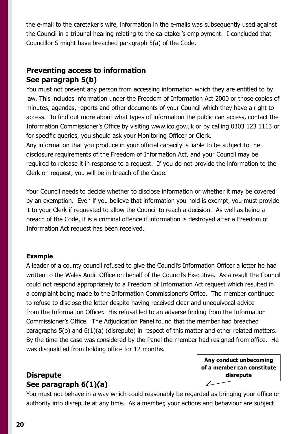<span id="page-19-0"></span>the e-mail to the caretaker's wife, information in the e-mails was subsequently used against the Council in a tribunal hearing relating to the caretaker's employment. I concluded that Councillor S might have breached paragraph 5(a) of the Code.

## **Preventing access to information See paragraph 5(b)**

You must not prevent any person from accessing information which they are entitled to by law. This includes information under the Freedom of Information Act 2000 or those copies of minutes, agendas, reports and other documents of your Council which they have a right to access. To find out more about what types of information the public can access, contact the Information Commissioner's Office by visiting www.ico.gov.uk or by calling 0303 123 1113 or for specific queries, you should ask your Monitoring Officer or Clerk. Any information that you produce in your official capacity is liable to be subject to the

disclosure requirements of the Freedom of Information Act, and your Council may be required to release it in response to a request. If you do not provide the information to the Clerk on request, you will be in breach of the Code.

Your Council needs to decide whether to disclose information or whether it may be covered by an exemption. Even if you believe that information you hold is exempt, you must provide it to your Clerk if requested to allow the Council to reach a decision. As well as being a breach of the Code, it is a criminal offence if information is destroyed after a Freedom of Information Act request has been received.

#### **Example**

A leader of a county council refused to give the Council's Information Officer a letter he had written to the Wales Audit Office on behalf of the Council's Executive. As a result the Council could not respond appropriately to a Freedom of Information Act request which resulted in a complaint being made to the Information Commissioner's Office. The member continued to refuse to disclose the letter despite having received clear and unequivocal advice from the Information Officer. His refusal led to an adverse finding from the Information Commissioner's Office. The Adjudication Panel found that the member had breached paragraphs 5(b) and 6(1)(a) (disrepute) in respect of this matter and other related matters. By the time the case was considered by the Panel the member had resigned from office. He was disqualified from holding office for 12 months.

### **Disrepute See paragraph 6(1)(a)**

**Any conduct unbecoming of a member can constitute disrepute**

You must not behave in a way which could reasonably be regarded as bringing your office or authority into disrepute at any time. As a member, your actions and behaviour are subject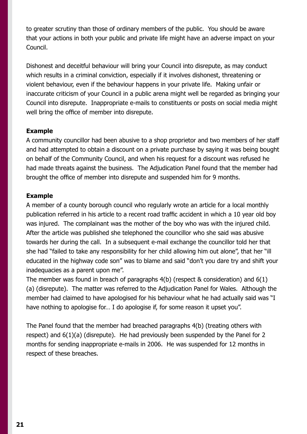to greater scrutiny than those of ordinary members of the public. You should be aware that your actions in both your public and private life might have an adverse impact on your Council.

Dishonest and deceitful behaviour will bring your Council into disrepute, as may conduct which results in a criminal conviction, especially if it involves dishonest, threatening or violent behaviour, even if the behaviour happens in your private life. Making unfair or inaccurate criticism of your Council in a public arena might well be regarded as bringing your Council into disrepute. Inappropriate e-mails to constituents or posts on social media might well bring the office of member into disrepute.

#### **Example**

A community councillor had been abusive to a shop proprietor and two members of her staff and had attempted to obtain a discount on a private purchase by saying it was being bought on behalf of the Community Council, and when his request for a discount was refused he had made threats against the business. The Adjudication Panel found that the member had brought the office of member into disrepute and suspended him for 9 months.

#### **Example**

A member of a county borough council who regularly wrote an article for a local monthly publication referred in his article to a recent road traffic accident in which a 10 year old boy was injured. The complainant was the mother of the boy who was with the injured child. After the article was published she telephoned the councillor who she said was abusive towards her during the call. In a subsequent e-mail exchange the councillor told her that she had "failed to take any responsibility for her child allowing him out alone", that her "ill educated in the highway code son" was to blame and said "don't you dare try and shift your inadequacies as a parent upon me".

The member was found in breach of paragraphs 4(b) (respect & consideration) and 6(1) (a) (disrepute). The matter was referred to the Adjudication Panel for Wales. Although the member had claimed to have apologised for his behaviour what he had actually said was "I have nothing to apologise for… I do apologise if, for some reason it upset you".

The Panel found that the member had breached paragraphs 4(b) (treating others with respect) and 6(1)(a) (disrepute). He had previously been suspended by the Panel for 2 months for sending inappropriate e-mails in 2006. He was suspended for 12 months in respect of these breaches.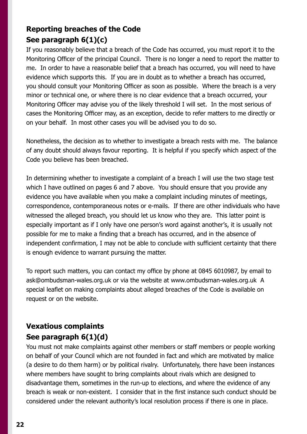## <span id="page-21-0"></span>**Reporting breaches of the Code See paragraph 6(1)(c)**

If you reasonably believe that a breach of the Code has occurred, you must report it to the Monitoring Officer of the principal Council. There is no longer a need to report the matter to me. In order to have a reasonable belief that a breach has occurred, you will need to have evidence which supports this. If you are in doubt as to whether a breach has occurred, you should consult your Monitoring Officer as soon as possible. Where the breach is a very minor or technical one, or where there is no clear evidence that a breach occurred, your Monitoring Officer may advise you of the likely threshold I will set. In the most serious of cases the Monitoring Officer may, as an exception, decide to refer matters to me directly or on your behalf. In most other cases you will be advised you to do so.

Nonetheless, the decision as to whether to investigate a breach rests with me. The balance of any doubt should always favour reporting. It is helpful if you specify which aspect of the Code you believe has been breached.

In determining whether to investigate a complaint of a breach I will use the two stage test which I have outlined on pages 6 and 7 above. You should ensure that you provide any evidence you have available when you make a complaint including minutes of meetings, correspondence, contemporaneous notes or e-mails. If there are other individuals who have witnessed the alleged breach, you should let us know who they are. This latter point is especially important as if I only have one person's word against another's, it is usually not possible for me to make a finding that a breach has occurred, and in the absence of independent confirmation, I may not be able to conclude with sufficient certainty that there is enough evidence to warrant pursuing the matter.

To report such matters, you can contact my office by phone at 0845 6010987, by email to ask@ombudsman-wales.org.uk or via the website at www.ombudsman-wales.org.uk A special leaflet on making complaints about alleged breaches of the Code is available on request or on the website.

## **Vexatious complaints See paragraph 6(1)(d)**

You must not make complaints against other members or staff members or people working on behalf of your Council which are not founded in fact and which are motivated by malice (a desire to do them harm) or by political rivalry. Unfortunately, there have been instances where members have sought to bring complaints about rivals which are designed to disadvantage them, sometimes in the run-up to elections, and where the evidence of any breach is weak or non-existent. I consider that in the first instance such conduct should be considered under the relevant authority's local resolution process if there is one in place.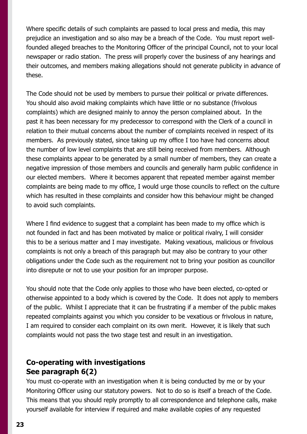<span id="page-22-0"></span>Where specific details of such complaints are passed to local press and media, this may prejudice an investigation and so also may be a breach of the Code. You must report wellfounded alleged breaches to the Monitoring Officer of the principal Council, not to your local newspaper or radio station. The press will properly cover the business of any hearings and their outcomes, and members making allegations should not generate publicity in advance of these.

The Code should not be used by members to pursue their political or private differences. You should also avoid making complaints which have little or no substance (frivolous complaints) which are designed mainly to annoy the person complained about. In the past it has been necessary for my predecessor to correspond with the Clerk of a council in relation to their mutual concerns about the number of complaints received in respect of its members. As previously stated, since taking up my office I too have had concerns about the number of low level complaints that are still being received from members. Although these complaints appear to be generated by a small number of members, they can create a negative impression of those members and councils and generally harm public confidence in our elected members. Where it becomes apparent that repeated member against member complaints are being made to my office, I would urge those councils to reflect on the culture which has resulted in these complaints and consider how this behaviour might be changed to avoid such complaints.

Where I find evidence to suggest that a complaint has been made to my office which is not founded in fact and has been motivated by malice or political rivalry, I will consider this to be a serious matter and I may investigate. Making vexatious, malicious or frivolous complaints is not only a breach of this paragraph but may also be contrary to your other obligations under the Code such as the requirement not to bring your position as councillor into disrepute or not to use your position for an improper purpose.

You should note that the Code only applies to those who have been elected, co-opted or otherwise appointed to a body which is covered by the Code. It does not apply to members of the public. Whilst I appreciate that it can be frustrating if a member of the public makes repeated complaints against you which you consider to be vexatious or frivolous in nature, I am required to consider each complaint on its own merit. However, it is likely that such complaints would not pass the two stage test and result in an investigation.

## **Co-operating with investigations See paragraph 6(2)**

You must co-operate with an investigation when it is being conducted by me or by your Monitoring Officer using our statutory powers. Not to do so is itself a breach of the Code. This means that you should reply promptly to all correspondence and telephone calls, make yourself available for interview if required and make available copies of any requested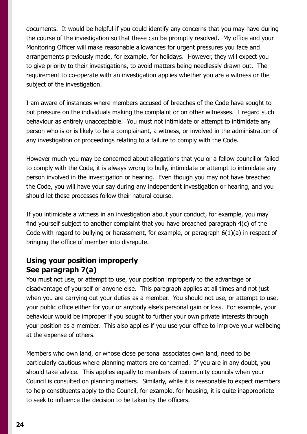<span id="page-23-0"></span>documents. It would be helpful if you could identify any concerns that you may have during the course of the investigation so that these can be promptly resolved. My office and your Monitoring Officer will make reasonable allowances for urgent pressures you face and arrangements previously made, for example, for holidays. However, they will expect you to give priority to their investigations, to avoid matters being needlessly drawn out. The requirement to co-operate with an investigation applies whether you are a witness or the subject of the investigation.

I am aware of instances where members accused of breaches of the Code have sought to put pressure on the individuals making the complaint or on other witnesses. I regard such behaviour as entirely unacceptable. You must not intimidate or attempt to intimidate any person who is or is likely to be a complainant, a witness, or involved in the administration of any investigation or proceedings relating to a failure to comply with the Code.

However much you may be concerned about allegations that you or a fellow councillor failed to comply with the Code, it is always wrong to bully, intimidate or attempt to intimidate any person involved in the investigation or hearing. Even though you may not have breached the Code, you will have your say during any independent investigation or hearing, and you should let these processes follow their natural course.

If you intimidate a witness in an investigation about your conduct, for example, you may find yourself subject to another complaint that you have breached paragraph 4(c) of the Code with regard to bullying or harassment, for example, or paragraph 6(1)(a) in respect of bringing the office of member into disrepute.

## **Using your position improperly See paragraph 7(a)**

You must not use, or attempt to use, your position improperly to the advantage or disadvantage of yourself or anyone else. This paragraph applies at all times and not just when you are carrying out your duties as a member. You should not use, or attempt to use, your public office either for your or anybody else's personal gain or loss. For example, your behaviour would be improper if you sought to further your own private interests through your position as a member. This also applies if you use your office to improve your wellbeing at the expense of others.

Members who own land, or whose close personal associates own land, need to be particularly cautious where planning matters are concerned. If you are in any doubt, you should take advice. This applies equally to members of community councils when your Council is consulted on planning matters. Similarly, while it is reasonable to expect members to help constituents apply to the Council, for example, for housing, it is quite inappropriate to seek to influence the decision to be taken by the officers.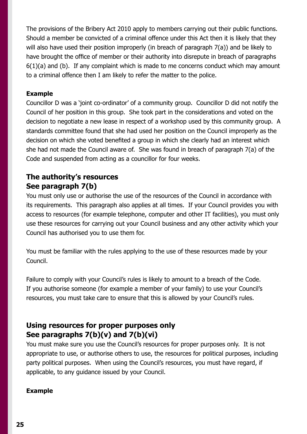<span id="page-24-0"></span>The provisions of the Bribery Act 2010 apply to members carrying out their public functions. Should a member be convicted of a criminal offence under this Act then it is likely that they will also have used their position improperly (in breach of paragraph 7(a)) and be likely to have brought the office of member or their authority into disrepute in breach of paragraphs 6(1)(a) and (b). If any complaint which is made to me concerns conduct which may amount to a criminal offence then I am likely to refer the matter to the police.

#### **Example**

Councillor D was a 'joint co-ordinator' of a community group. Councillor D did not notify the Council of her position in this group. She took part in the considerations and voted on the decision to negotiate a new lease in respect of a workshop used by this community group. A standards committee found that she had used her position on the Council improperly as the decision on which she voted benefited a group in which she clearly had an interest which she had not made the Council aware of. She was found in breach of paragraph 7(a) of the Code and suspended from acting as a councillor for four weeks.

### **The authority's resources See paragraph 7(b)**

You must only use or authorise the use of the resources of the Council in accordance with its requirements. This paragraph also applies at all times. If your Council provides you with access to resources (for example telephone, computer and other IT facilities), you must only use these resources for carrying out your Council business and any other activity which your Council has authorised you to use them for.

You must be familiar with the rules applying to the use of these resources made by your Council.

Failure to comply with your Council's rules is likely to amount to a breach of the Code. If you authorise someone (for example a member of your family) to use your Council's resources, you must take care to ensure that this is allowed by your Council's rules.

### **Using resources for proper purposes only See paragraphs 7(b)(v) and 7(b)(vi)**

You must make sure you use the Council's resources for proper purposes only. It is not appropriate to use, or authorise others to use, the resources for political purposes, including party political purposes. When using the Council's resources, you must have regard, if applicable, to any guidance issued by your Council.

#### **Example**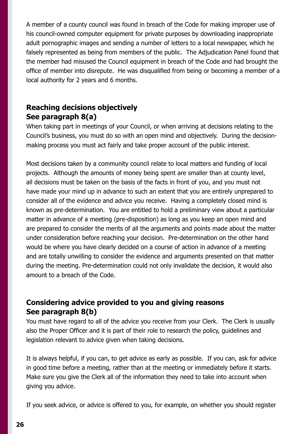<span id="page-25-0"></span>A member of a county council was found in breach of the Code for making improper use of his council-owned computer equipment for private purposes by downloading inappropriate adult pornographic images and sending a number of letters to a local newspaper, which he falsely represented as being from members of the public. The Adjudication Panel found that the member had misused the Council equipment in breach of the Code and had brought the office of member into disrepute. He was disqualified from being or becoming a member of a local authority for 2 years and 6 months.

## **Reaching decisions objectively See paragraph 8(a)**

When taking part in meetings of your Council, or when arriving at decisions relating to the Council's business, you must do so with an open mind and objectively. During the decisionmaking process you must act fairly and take proper account of the public interest.

Most decisions taken by a community council relate to local matters and funding of local projects. Although the amounts of money being spent are smaller than at county level, all decisions must be taken on the basis of the facts in front of you, and you must not have made your mind up in advance to such an extent that you are entirely unprepared to consider all of the evidence and advice you receive. Having a completely closed mind is known as pre-determination. You are entitled to hold a preliminary view about a particular matter in advance of a meeting (pre-disposition) as long as you keep an open mind and are prepared to consider the merits of all the arguments and points made about the matter under consideration before reaching your decision. Pre-determination on the other hand would be where you have clearly decided on a course of action in advance of a meeting and are totally unwilling to consider the evidence and arguments presented on that matter during the meeting. Pre-determination could not only invalidate the decision, it would also amount to a breach of the Code.

## **Considering advice provided to you and giving reasons See paragraph 8(b)**

You must have regard to all of the advice you receive from your Clerk. The Clerk is usually also the Proper Officer and it is part of their role to research the policy, guidelines and legislation relevant to advice given when taking decisions.

It is always helpful, if you can, to get advice as early as possible. If you can, ask for advice in good time before a meeting, rather than at the meeting or immediately before it starts. Make sure you give the Clerk all of the information they need to take into account when giving you advice.

If you seek advice, or advice is offered to you, for example, on whether you should register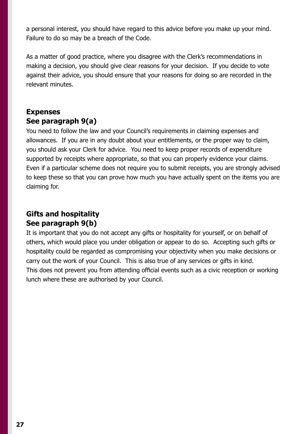<span id="page-26-0"></span>a personal interest, you should have regard to this advice before you make up your mind. Failure to do so may be a breach of the Code.

As a matter of good practice, where you disagree with the Clerk's recommendations in making a decision, you should give clear reasons for your decision. If you decide to vote against their advice, you should ensure that your reasons for doing so are recorded in the relevant minutes.

## **Expenses See paragraph 9(a)**

You need to follow the law and your Council's requirements in claiming expenses and allowances. If you are in any doubt about your entitlements, or the proper way to claim, you should ask your Clerk for advice. You need to keep proper records of expenditure supported by receipts where appropriate, so that you can properly evidence your claims. Even if a particular scheme does not require you to submit receipts, you are strongly advised to keep these so that you can prove how much you have actually spent on the items you are claiming for.

## **Gifts and hospitality See paragraph 9(b)**

It is important that you do not accept any gifts or hospitality for yourself, or on behalf of others, which would place you under obligation or appear to do so. Accepting such gifts or hospitality could be regarded as compromising your objectivity when you make decisions or carry out the work of your Council. This is also true of any services or gifts in kind. This does not prevent you from attending official events such as a civic reception or working lunch where these are authorised by your Council.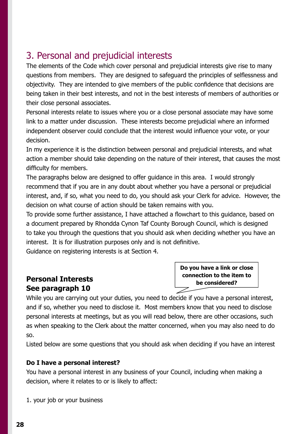## <span id="page-27-0"></span>3. Personal and prejudicial interests

The elements of the Code which cover personal and prejudicial interests give rise to many questions from members. They are designed to safeguard the principles of selflessness and objectivity. They are intended to give members of the public confidence that decisions are being taken in their best interests, and not in the best interests of members of authorities or their close personal associates.

Personal interests relate to issues where you or a close personal associate may have some link to a matter under discussion. These interests become prejudicial where an informed independent observer could conclude that the interest would influence your vote, or your decision.

In my experience it is the distinction between personal and prejudicial interests, and what action a member should take depending on the nature of their interest, that causes the most difficulty for members.

The paragraphs below are designed to offer guidance in this area. I would strongly recommend that if you are in any doubt about whether you have a personal or prejudicial interest, and, if so, what you need to do, you should ask your Clerk for advice. However, the decision on what course of action should be taken remains with you.

To provide some further assistance, I have attached a flowchart to this guidance, based on a document prepared by Rhondda Cynon Taf County Borough Council, which is designed to take you through the questions that you should ask when deciding whether you have an interest. It is for illustration purposes only and is not definitive.

Guidance on registering interests is at Section 4.

## **Personal Interests See paragraph 10**

**Do you have a link or close connection to the item to be considered?**

While you are carrying out your duties, you need to decide if you have a personal interest, and if so, whether you need to disclose it. Most members know that you need to disclose personal interests at meetings, but as you will read below, there are other occasions, such as when speaking to the Clerk about the matter concerned, when you may also need to do so.

Listed below are some questions that you should ask when deciding if you have an interest

#### **Do I have a personal interest?**

You have a personal interest in any business of your Council, including when making a decision, where it relates to or is likely to affect:

1. your job or your business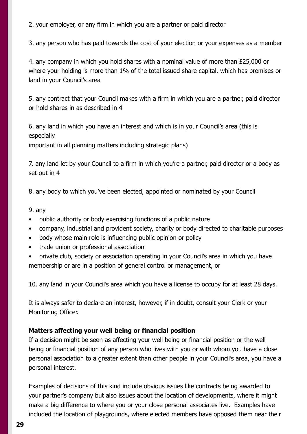<span id="page-28-0"></span>2. your employer, or any firm in which you are a partner or paid director

3. any person who has paid towards the cost of your election or your expenses as a member

4. any company in which you hold shares with a nominal value of more than £25,000 or where your holding is more than 1% of the total issued share capital, which has premises or land in your Council's area

5. any contract that your Council makes with a firm in which you are a partner, paid director or hold shares in as described in 4

6. any land in which you have an interest and which is in your Council's area (this is especially

important in all planning matters including strategic plans)

7. any land let by your Council to a firm in which you're a partner, paid director or a body as set out in 4

8. any body to which you've been elected, appointed or nominated by your Council

- 9. any
- public authority or body exercising functions of a public nature
- company, industrial and provident society, charity or body directed to charitable purposes
- body whose main role is influencing public opinion or policy
- trade union or professional association

• private club, society or association operating in your Council's area in which you have membership or are in a position of general control or management, or

10. any land in your Council's area which you have a license to occupy for at least 28 days.

It is always safer to declare an interest, however, if in doubt, consult your Clerk or your Monitoring Officer.

#### **Matters affecting your well being or financial position**

If a decision might be seen as affecting your well being or financial position or the well being or financial position of any person who lives with you or with whom you have a close personal association to a greater extent than other people in your Council's area, you have a personal interest.

Examples of decisions of this kind include obvious issues like contracts being awarded to your partner's company but also issues about the location of developments, where it might make a big difference to where you or your close personal associates live. Examples have included the location of playgrounds, where elected members have opposed them near their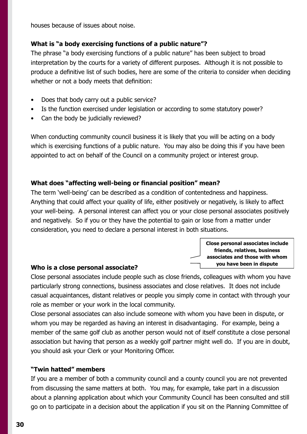houses because of issues about noise.

#### **What is "a body exercising functions of a public nature"?**

The phrase "a body exercising functions of a public nature" has been subject to broad interpretation by the courts for a variety of different purposes. Although it is not possible to produce a definitive list of such bodies, here are some of the criteria to consider when deciding whether or not a body meets that definition:

- Does that body carry out a public service?
- Is the function exercised under legislation or according to some statutory power?
- Can the body be judicially reviewed?

When conducting community council business it is likely that you will be acting on a body which is exercising functions of a public nature. You may also be doing this if you have been appointed to act on behalf of the Council on a community project or interest group.

#### **What does "affecting well-being or financial position" mean?**

The term 'well-being' can be described as a condition of contentedness and happiness. Anything that could affect your quality of life, either positively or negatively, is likely to affect your well-being. A personal interest can affect you or your close personal associates positively and negatively. So if you or they have the potential to gain or lose from a matter under consideration, you need to declare a personal interest in both situations.

## **you have been in dispute Who is a close personal associate?**

**Close personal associates include friends, relatives, business associates and those with whom** 

Close personal associates include people such as close friends, colleagues with whom you have particularly strong connections, business associates and close relatives. It does not include casual acquaintances, distant relatives or people you simply come in contact with through your role as member or your work in the local community.

Close personal associates can also include someone with whom you have been in dispute, or whom you may be regarded as having an interest in disadvantaging. For example, being a member of the same golf club as another person would not of itself constitute a close personal association but having that person as a weekly golf partner might well do. If you are in doubt, you should ask your Clerk or your Monitoring Officer.

#### **"Twin hatted" members**

If you are a member of both a community council and a county council you are not prevented from discussing the same matters at both. You may, for example, take part in a discussion about a planning application about which your Community Council has been consulted and still go on to participate in a decision about the application if you sit on the Planning Committee of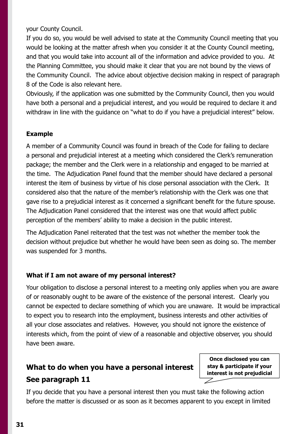your County Council.

If you do so, you would be well advised to state at the Community Council meeting that you would be looking at the matter afresh when you consider it at the County Council meeting, and that you would take into account all of the information and advice provided to you. At the Planning Committee, you should make it clear that you are not bound by the views of the Community Council. The advice about objective decision making in respect of paragraph 8 of the Code is also relevant here.

Obviously, if the application was one submitted by the Community Council, then you would have both a personal and a prejudicial interest, and you would be required to declare it and withdraw in line with the quidance on "what to do if you have a prejudicial interest" below.

#### **Example**

A member of a Community Council was found in breach of the Code for failing to declare a personal and prejudicial interest at a meeting which considered the Clerk's remuneration package; the member and the Clerk were in a relationship and engaged to be married at the time. The Adjudication Panel found that the member should have declared a personal interest the item of business by virtue of his close personal association with the Clerk. It considered also that the nature of the member's relationship with the Clerk was one that gave rise to a prejudicial interest as it concerned a significant benefit for the future spouse. The Adjudication Panel considered that the interest was one that would affect public perception of the members' ability to make a decision in the public interest.

The Adjudication Panel reiterated that the test was not whether the member took the decision without prejudice but whether he would have been seen as doing so. The member was suspended for 3 months.

#### **What if I am not aware of my personal interest?**

Your obligation to disclose a personal interest to a meeting only applies when you are aware of or reasonably ought to be aware of the existence of the personal interest. Clearly you cannot be expected to declare something of which you are unaware. It would be impractical to expect you to research into the employment, business interests and other activities of all your close associates and relatives. However, you should not ignore the existence of interests which, from the point of view of a reasonable and objective observer, you should have been aware.

## **What to do when you have a personal interest See paragraph 11**

**Once disclosed you can stay & participate if your interest is not prejudicial**

If you decide that you have a personal interest then you must take the following action before the matter is discussed or as soon as it becomes apparent to you except in limited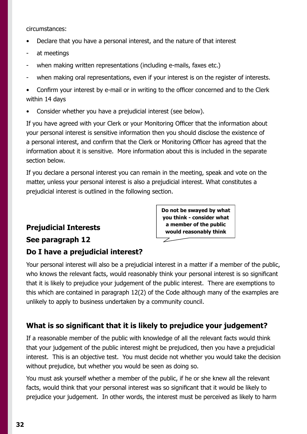<span id="page-31-0"></span>circumstances:

- Declare that you have a personal interest, and the nature of that interest
- at meetings
- when making written representations (including e-mails, faxes etc.)
- when making oral representations, even if your interest is on the register of interests.
- Confirm your interest by e-mail or in writing to the officer concerned and to the Clerk within 14 days
- Consider whether you have a prejudicial interest (see below).

If you have agreed with your Clerk or your Monitoring Officer that the information about your personal interest is sensitive information then you should disclose the existence of a personal interest, and confirm that the Clerk or Monitoring Officer has agreed that the information about it is sensitive. More information about this is included in the separate section below.

If you declare a personal interest you can remain in the meeting, speak and vote on the matter, unless your personal interest is also a prejudicial interest. What constitutes a prejudicial interest is outlined in the following section.

## **Prejudicial Interests See paragraph 12 Do I have a prejudicial interest?**

**Do not be swayed by what you think - consider what a member of the public would reasonably think**

Your personal interest will also be a prejudicial interest in a matter if a member of the public, who knows the relevant facts, would reasonably think your personal interest is so significant that it is likely to prejudice your judgement of the public interest. There are exemptions to this which are contained in paragraph 12(2) of the Code although many of the examples are unlikely to apply to business undertaken by a community council.

 $\overline{\mathbb{Z}}$ 

### **What is so significant that it is likely to prejudice your judgement?**

If a reasonable member of the public with knowledge of all the relevant facts would think that your judgement of the public interest might be prejudiced, then you have a prejudicial interest. This is an objective test. You must decide not whether you would take the decision without prejudice, but whether you would be seen as doing so.

You must ask yourself whether a member of the public, if he or she knew all the relevant facts, would think that your personal interest was so significant that it would be likely to prejudice your judgement. In other words, the interest must be perceived as likely to harm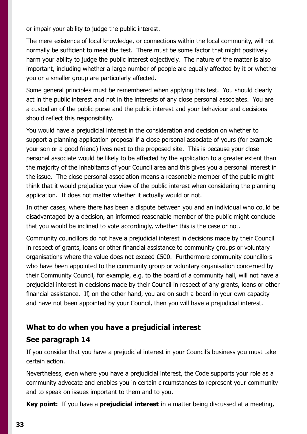<span id="page-32-0"></span>or impair your ability to judge the public interest.

The mere existence of local knowledge, or connections within the local community, will not normally be sufficient to meet the test. There must be some factor that might positively harm your ability to judge the public interest objectively. The nature of the matter is also important, including whether a large number of people are equally affected by it or whether you or a smaller group are particularly affected.

Some general principles must be remembered when applying this test. You should clearly act in the public interest and not in the interests of any close personal associates. You are a custodian of the public purse and the public interest and your behaviour and decisions should reflect this responsibility.

You would have a prejudicial interest in the consideration and decision on whether to support a planning application proposal if a close personal associate of yours (for example your son or a good friend) lives next to the proposed site. This is because your close personal associate would be likely to be affected by the application to a greater extent than the majority of the inhabitants of your Council area and this gives you a personal interest in the issue. The close personal association means a reasonable member of the public might think that it would prejudice your view of the public interest when considering the planning application. It does not matter whether it actually would or not.

In other cases, where there has been a dispute between you and an individual who could be disadvantaged by a decision, an informed reasonable member of the public might conclude that you would be inclined to vote accordingly, whether this is the case or not.

Community councillors do not have a prejudicial interest in decisions made by their Council in respect of grants, loans or other financial assistance to community groups or voluntary organisations where the value does not exceed £500. Furthermore community councillors who have been appointed to the community group or voluntary organisation concerned by their Community Council, for example, e.g. to the board of a community hall, will not have a prejudicial interest in decisions made by their Council in respect of any grants, loans or other financial assistance. If, on the other hand, you are on such a board in your own capacity and have not been appointed by your Council, then you will have a prejudicial interest.

## **What to do when you have a prejudicial interest**

### **See paragraph 14**

If you consider that you have a prejudicial interest in your Council's business you must take certain action.

Nevertheless, even where you have a prejudicial interest, the Code supports your role as a community advocate and enables you in certain circumstances to represent your community and to speak on issues important to them and to you.

**Key point:** If you have a **prejudicial interest i**n a matter being discussed at a meeting,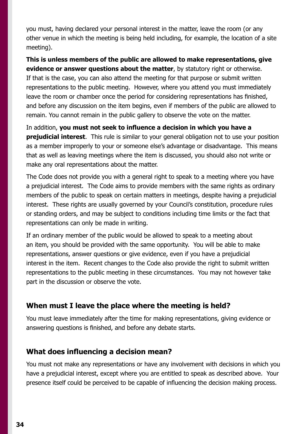you must, having declared your personal interest in the matter, leave the room (or any other venue in which the meeting is being held including, for example, the location of a site meeting).

**This is unless members of the public are allowed to make representations, give evidence or answer questions about the matter**, by statutory right or otherwise. If that is the case, you can also attend the meeting for that purpose or submit written representations to the public meeting. However, where you attend you must immediately leave the room or chamber once the period for considering representations has finished, and before any discussion on the item begins, even if members of the public are allowed to remain. You cannot remain in the public gallery to observe the vote on the matter.

In addition, **you must not seek to influence a decision in which you have a prejudicial interest**. This rule is similar to your general obligation not to use your position as a member improperly to your or someone else's advantage or disadvantage. This means that as well as leaving meetings where the item is discussed, you should also not write or make any oral representations about the matter.

The Code does not provide you with a general right to speak to a meeting where you have a prejudicial interest. The Code aims to provide members with the same rights as ordinary members of the public to speak on certain matters in meetings, despite having a prejudicial interest. These rights are usually governed by your Council's constitution, procedure rules or standing orders, and may be subject to conditions including time limits or the fact that representations can only be made in writing.

If an ordinary member of the public would be allowed to speak to a meeting about an item, you should be provided with the same opportunity. You will be able to make representations, answer questions or give evidence, even if you have a prejudicial interest in the item. Recent changes to the Code also provide the right to submit written representations to the public meeting in these circumstances. You may not however take part in the discussion or observe the vote.

### **When must I leave the place where the meeting is held?**

You must leave immediately after the time for making representations, giving evidence or answering questions is finished, and before any debate starts.

### **What does influencing a decision mean?**

You must not make any representations or have any involvement with decisions in which you have a prejudicial interest, except where you are entitled to speak as described above. Your presence itself could be perceived to be capable of influencing the decision making process.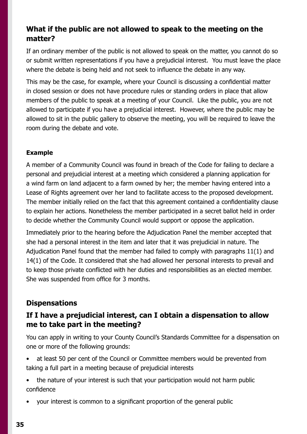## **What if the public are not allowed to speak to the meeting on the matter?**

If an ordinary member of the public is not allowed to speak on the matter, you cannot do so or submit written representations if you have a prejudicial interest. You must leave the place where the debate is being held and not seek to influence the debate in any way.

This may be the case, for example, where your Council is discussing a confidential matter in closed session or does not have procedure rules or standing orders in place that allow members of the public to speak at a meeting of your Council. Like the public, you are not allowed to participate if you have a prejudicial interest. However, where the public may be allowed to sit in the public gallery to observe the meeting, you will be required to leave the room during the debate and vote.

#### **Example**

A member of a Community Council was found in breach of the Code for failing to declare a personal and prejudicial interest at a meeting which considered a planning application for a wind farm on land adjacent to a farm owned by her; the member having entered into a Lease of Rights agreement over her land to facilitate access to the proposed development. The member initially relied on the fact that this agreement contained a confidentiality clause to explain her actions. Nonetheless the member participated in a secret ballot held in order to decide whether the Community Council would support or oppose the application.

Immediately prior to the hearing before the Adjudication Panel the member accepted that she had a personal interest in the item and later that it was prejudicial in nature. The Adjudication Panel found that the member had failed to comply with paragraphs 11(1) and 14(1) of the Code. It considered that she had allowed her personal interests to prevail and to keep those private conflicted with her duties and responsibilities as an elected member. She was suspended from office for 3 months.

### **Dispensations**

## **If I have a prejudicial interest, can I obtain a dispensation to allow me to take part in the meeting?**

You can apply in writing to your County Council's Standards Committee for a dispensation on one or more of the following grounds:

- at least 50 per cent of the Council or Committee members would be prevented from taking a full part in a meeting because of prejudicial interests
- the nature of your interest is such that your participation would not harm public confidence
- your interest is common to a significant proportion of the general public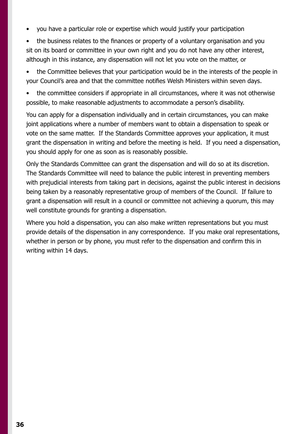- <span id="page-35-0"></span>• you have a particular role or expertise which would justify your participation
- the business relates to the finances or property of a voluntary organisation and you sit on its board or committee in your own right and you do not have any other interest, although in this instance, any dispensation will not let you vote on the matter, or
- the Committee believes that your participation would be in the interests of the people in your Council's area and that the committee notifies Welsh Ministers within seven days.
- the committee considers if appropriate in all circumstances, where it was not otherwise possible, to make reasonable adjustments to accommodate a person's disability.

You can apply for a dispensation individually and in certain circumstances, you can make joint applications where a number of members want to obtain a dispensation to speak or vote on the same matter. If the Standards Committee approves your application, it must grant the dispensation in writing and before the meeting is held. If you need a dispensation, you should apply for one as soon as is reasonably possible.

Only the Standards Committee can grant the dispensation and will do so at its discretion. The Standards Committee will need to balance the public interest in preventing members with prejudicial interests from taking part in decisions, against the public interest in decisions being taken by a reasonably representative group of members of the Council. If failure to grant a dispensation will result in a council or committee not achieving a quorum, this may well constitute grounds for granting a dispensation.

Where you hold a dispensation, you can also make written representations but you must provide details of the dispensation in any correspondence. If you make oral representations, whether in person or by phone, you must refer to the dispensation and confirm this in writing within 14 days.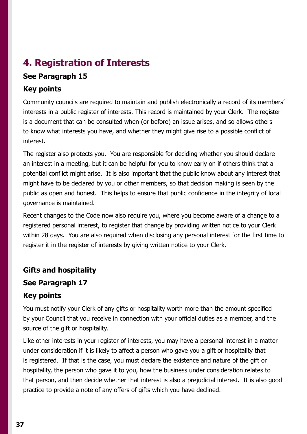## <span id="page-36-0"></span>**4. Registration of Interests**

## **See Paragraph 15**

## **Key points**

Community councils are required to maintain and publish electronically a record of its members' interests in a public register of interests. This record is maintained by your Clerk. The register is a document that can be consulted when (or before) an issue arises, and so allows others to know what interests you have, and whether they might give rise to a possible conflict of interest.

The register also protects you. You are responsible for deciding whether you should declare an interest in a meeting, but it can be helpful for you to know early on if others think that a potential conflict might arise. It is also important that the public know about any interest that might have to be declared by you or other members, so that decision making is seen by the public as open and honest. This helps to ensure that public confidence in the integrity of local governance is maintained.

Recent changes to the Code now also require you, where you become aware of a change to a registered personal interest, to register that change by providing written notice to your Clerk within 28 days. You are also required when disclosing any personal interest for the first time to register it in the register of interests by giving written notice to your Clerk.

## **Gifts and hospitality**

## **See Paragraph 17**

## **Key points**

You must notify your Clerk of any gifts or hospitality worth more than the amount specified by your Council that you receive in connection with your official duties as a member, and the source of the gift or hospitality.

Like other interests in your register of interests, you may have a personal interest in a matter under consideration if it is likely to affect a person who gave you a gift or hospitality that is registered. If that is the case, you must declare the existence and nature of the gift or hospitality, the person who gave it to you, how the business under consideration relates to that person, and then decide whether that interest is also a prejudicial interest. It is also good practice to provide a note of any offers of gifts which you have declined.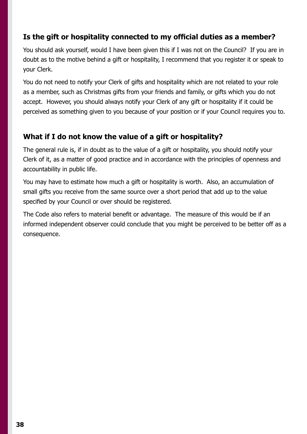## **Is the gift or hospitality connected to my official duties as a member?**

You should ask yourself, would I have been given this if I was not on the Council? If you are in doubt as to the motive behind a gift or hospitality, I recommend that you register it or speak to your Clerk.

You do not need to notify your Clerk of gifts and hospitality which are not related to your role as a member, such as Christmas gifts from your friends and family, or gifts which you do not accept. However, you should always notify your Clerk of any gift or hospitality if it could be perceived as something given to you because of your position or if your Council requires you to.

## **What if I do not know the value of a gift or hospitality?**

The general rule is, if in doubt as to the value of a gift or hospitality, you should notify your Clerk of it, as a matter of good practice and in accordance with the principles of openness and accountability in public life.

You may have to estimate how much a gift or hospitality is worth. Also, an accumulation of small gifts you receive from the same source over a short period that add up to the value specified by your Council or over should be registered.

The Code also refers to material benefit or advantage. The measure of this would be if an informed independent observer could conclude that you might be perceived to be better off as a consequence.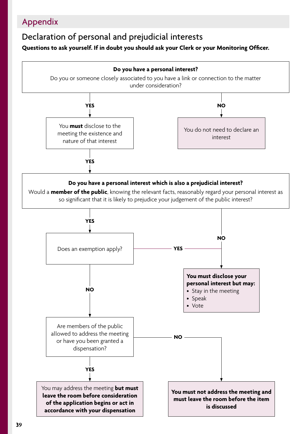## <span id="page-38-0"></span>Appendix

## Declaration of personal and prejudicial interests

**Questions to ask yourself. If in doubt you should ask your Clerk or your Monitoring Officer.**